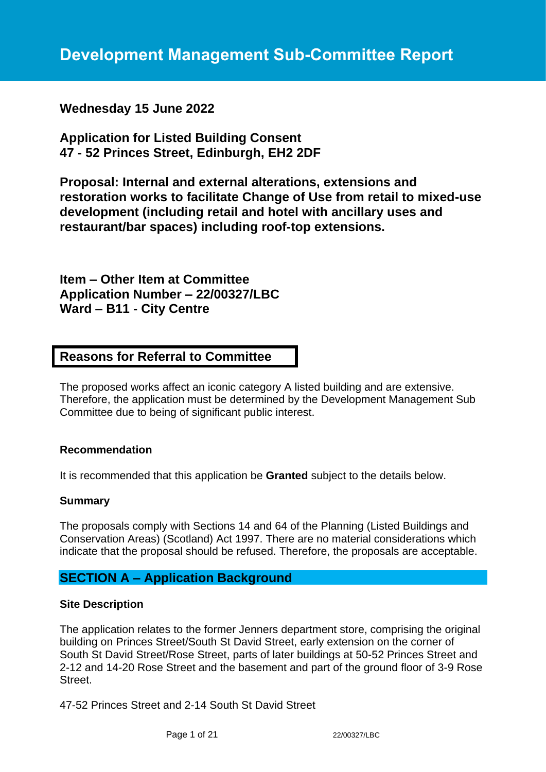**Wednesday 15 June 2022**

**Application for Listed Building Consent 47 - 52 Princes Street, Edinburgh, EH2 2DF**

**Proposal: Internal and external alterations, extensions and restoration works to facilitate Change of Use from retail to mixed-use development (including retail and hotel with ancillary uses and restaurant/bar spaces) including roof-top extensions.**

**Item – Other Item at Committee Application Number – 22/00327/LBC Ward – B11 - City Centre**

# **Reasons for Referral to Committee**

The proposed works affect an iconic category A listed building and are extensive. Therefore, the application must be determined by the Development Management Sub Committee due to being of significant public interest.

## **Recommendation**

It is recommended that this application be **Granted** subject to the details below.

## **Summary**

The proposals comply with Sections 14 and 64 of the Planning (Listed Buildings and Conservation Areas) (Scotland) Act 1997. There are no material considerations which indicate that the proposal should be refused. Therefore, the proposals are acceptable.

# **SECTION A – Application Background**

## **Site Description**

The application relates to the former Jenners department store, comprising the original building on Princes Street/South St David Street, early extension on the corner of South St David Street/Rose Street, parts of later buildings at 50-52 Princes Street and 2-12 and 14-20 Rose Street and the basement and part of the ground floor of 3-9 Rose Street.

47-52 Princes Street and 2-14 South St David Street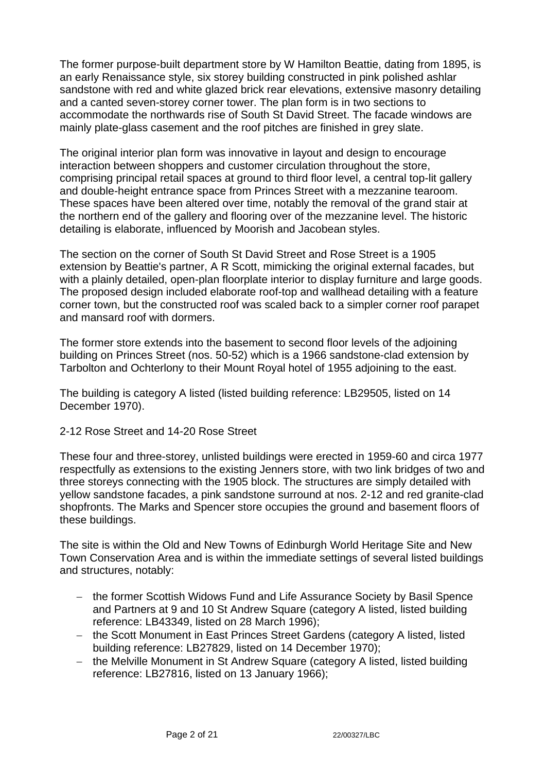The former purpose-built department store by W Hamilton Beattie, dating from 1895, is an early Renaissance style, six storey building constructed in pink polished ashlar sandstone with red and white glazed brick rear elevations, extensive masonry detailing and a canted seven-storey corner tower. The plan form is in two sections to accommodate the northwards rise of South St David Street. The facade windows are mainly plate-glass casement and the roof pitches are finished in grey slate.

The original interior plan form was innovative in layout and design to encourage interaction between shoppers and customer circulation throughout the store, comprising principal retail spaces at ground to third floor level, a central top-lit gallery and double-height entrance space from Princes Street with a mezzanine tearoom. These spaces have been altered over time, notably the removal of the grand stair at the northern end of the gallery and flooring over of the mezzanine level. The historic detailing is elaborate, influenced by Moorish and Jacobean styles.

The section on the corner of South St David Street and Rose Street is a 1905 extension by Beattie's partner, A R Scott, mimicking the original external facades, but with a plainly detailed, open-plan floorplate interior to display furniture and large goods. The proposed design included elaborate roof-top and wallhead detailing with a feature corner town, but the constructed roof was scaled back to a simpler corner roof parapet and mansard roof with dormers.

The former store extends into the basement to second floor levels of the adjoining building on Princes Street (nos. 50-52) which is a 1966 sandstone-clad extension by Tarbolton and Ochterlony to their Mount Royal hotel of 1955 adjoining to the east.

The building is category A listed (listed building reference: LB29505, listed on 14 December 1970).

2-12 Rose Street and 14-20 Rose Street

These four and three-storey, unlisted buildings were erected in 1959-60 and circa 1977 respectfully as extensions to the existing Jenners store, with two link bridges of two and three storeys connecting with the 1905 block. The structures are simply detailed with yellow sandstone facades, a pink sandstone surround at nos. 2-12 and red granite-clad shopfronts. The Marks and Spencer store occupies the ground and basement floors of these buildings.

The site is within the Old and New Towns of Edinburgh World Heritage Site and New Town Conservation Area and is within the immediate settings of several listed buildings and structures, notably:

- − the former Scottish Widows Fund and Life Assurance Society by Basil Spence and Partners at 9 and 10 St Andrew Square (category A listed, listed building reference: LB43349, listed on 28 March 1996);
- − the Scott Monument in East Princes Street Gardens (category A listed, listed building reference: LB27829, listed on 14 December 1970);
- − the Melville Monument in St Andrew Square (category A listed, listed building reference: LB27816, listed on 13 January 1966);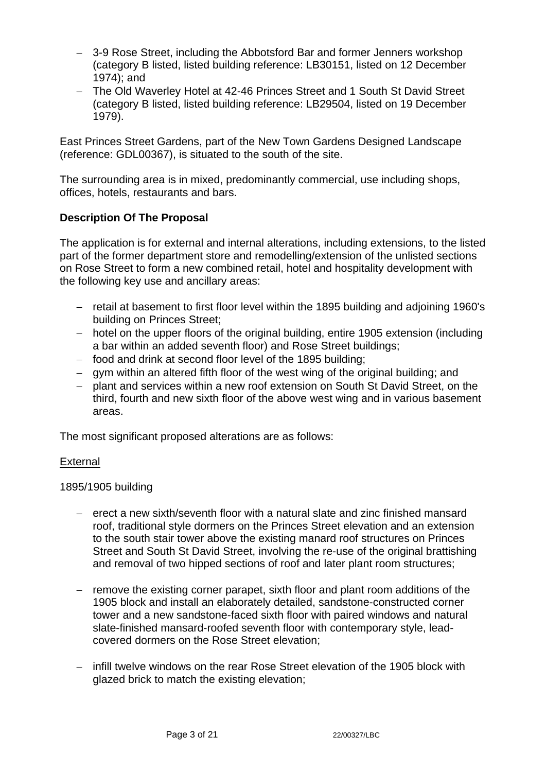- − 3-9 Rose Street, including the Abbotsford Bar and former Jenners workshop (category B listed, listed building reference: LB30151, listed on 12 December 1974); and
- − The Old Waverley Hotel at 42-46 Princes Street and 1 South St David Street (category B listed, listed building reference: LB29504, listed on 19 December 1979).

East Princes Street Gardens, part of the New Town Gardens Designed Landscape (reference: GDL00367), is situated to the south of the site.

The surrounding area is in mixed, predominantly commercial, use including shops, offices, hotels, restaurants and bars.

## **Description Of The Proposal**

The application is for external and internal alterations, including extensions, to the listed part of the former department store and remodelling/extension of the unlisted sections on Rose Street to form a new combined retail, hotel and hospitality development with the following key use and ancillary areas:

- − retail at basement to first floor level within the 1895 building and adjoining 1960's building on Princes Street;
- − hotel on the upper floors of the original building, entire 1905 extension (including a bar within an added seventh floor) and Rose Street buildings;
- − food and drink at second floor level of the 1895 building;
- − gym within an altered fifth floor of the west wing of the original building; and
- − plant and services within a new roof extension on South St David Street, on the third, fourth and new sixth floor of the above west wing and in various basement areas.

The most significant proposed alterations are as follows:

## **External**

1895/1905 building

- − erect a new sixth/seventh floor with a natural slate and zinc finished mansard roof, traditional style dormers on the Princes Street elevation and an extension to the south stair tower above the existing manard roof structures on Princes Street and South St David Street, involving the re-use of the original brattishing and removal of two hipped sections of roof and later plant room structures;
- − remove the existing corner parapet, sixth floor and plant room additions of the 1905 block and install an elaborately detailed, sandstone-constructed corner tower and a new sandstone-faced sixth floor with paired windows and natural slate-finished mansard-roofed seventh floor with contemporary style, leadcovered dormers on the Rose Street elevation;
- − infill twelve windows on the rear Rose Street elevation of the 1905 block with glazed brick to match the existing elevation;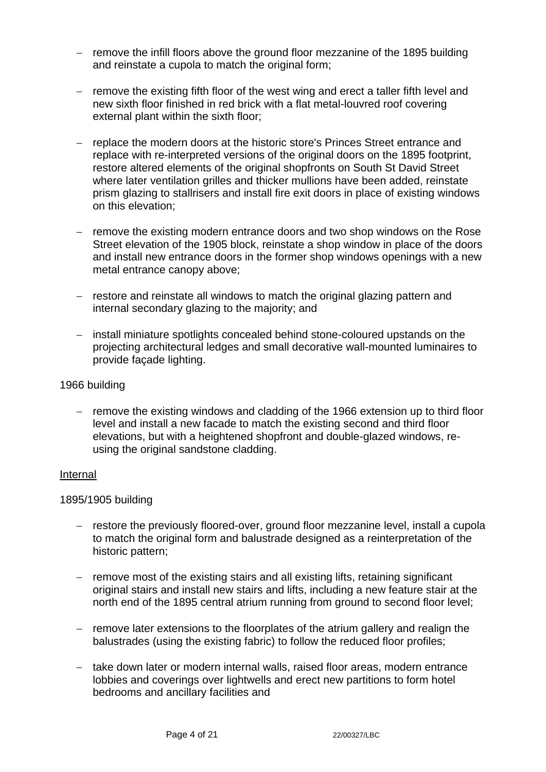- − remove the infill floors above the ground floor mezzanine of the 1895 building and reinstate a cupola to match the original form;
- − remove the existing fifth floor of the west wing and erect a taller fifth level and new sixth floor finished in red brick with a flat metal-louvred roof covering external plant within the sixth floor;
- − replace the modern doors at the historic store's Princes Street entrance and replace with re-interpreted versions of the original doors on the 1895 footprint, restore altered elements of the original shopfronts on South St David Street where later ventilation grilles and thicker mullions have been added, reinstate prism glazing to stallrisers and install fire exit doors in place of existing windows on this elevation;
- − remove the existing modern entrance doors and two shop windows on the Rose Street elevation of the 1905 block, reinstate a shop window in place of the doors and install new entrance doors in the former shop windows openings with a new metal entrance canopy above;
- − restore and reinstate all windows to match the original glazing pattern and internal secondary glazing to the majority; and
- − install miniature spotlights concealed behind stone-coloured upstands on the projecting architectural ledges and small decorative wall-mounted luminaires to provide façade lighting.

### 1966 building

remove the existing windows and cladding of the 1966 extension up to third floor level and install a new facade to match the existing second and third floor elevations, but with a heightened shopfront and double-glazed windows, reusing the original sandstone cladding.

#### **Internal**

## 1895/1905 building

- − restore the previously floored-over, ground floor mezzanine level, install a cupola to match the original form and balustrade designed as a reinterpretation of the historic pattern;
- − remove most of the existing stairs and all existing lifts, retaining significant original stairs and install new stairs and lifts, including a new feature stair at the north end of the 1895 central atrium running from ground to second floor level;
- − remove later extensions to the floorplates of the atrium gallery and realign the balustrades (using the existing fabric) to follow the reduced floor profiles;
- − take down later or modern internal walls, raised floor areas, modern entrance lobbies and coverings over lightwells and erect new partitions to form hotel bedrooms and ancillary facilities and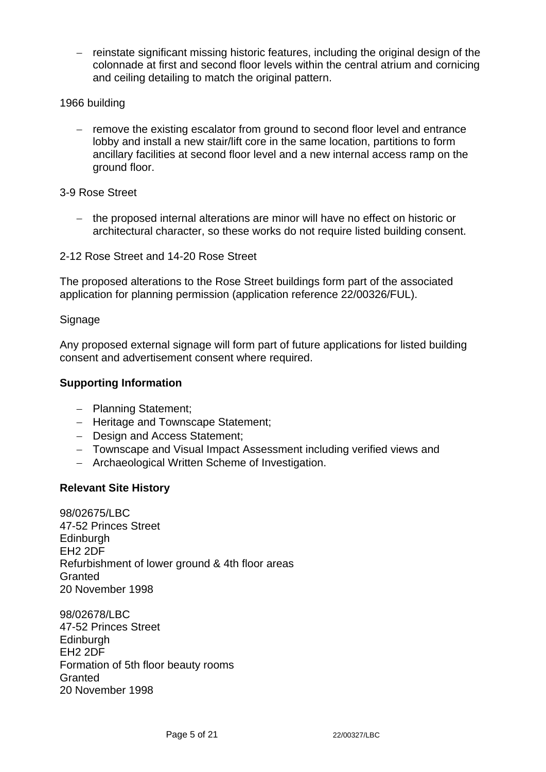- − reinstate significant missing historic features, including the original design of the colonnade at first and second floor levels within the central atrium and cornicing and ceiling detailing to match the original pattern.
- 1966 building
	- − remove the existing escalator from ground to second floor level and entrance lobby and install a new stair/lift core in the same location, partitions to form ancillary facilities at second floor level and a new internal access ramp on the ground floor.

3-9 Rose Street

− the proposed internal alterations are minor will have no effect on historic or architectural character, so these works do not require listed building consent.

2-12 Rose Street and 14-20 Rose Street

The proposed alterations to the Rose Street buildings form part of the associated application for planning permission (application reference 22/00326/FUL).

**Signage** 

Any proposed external signage will form part of future applications for listed building consent and advertisement consent where required.

## **Supporting Information**

- − Planning Statement;
- − Heritage and Townscape Statement;
- − Design and Access Statement;
- − Townscape and Visual Impact Assessment including verified views and
- − Archaeological Written Scheme of Investigation.

## **Relevant Site History**

98/02675/LBC 47-52 Princes Street **Edinburgh** EH2 2DF Refurbishment of lower ground & 4th floor areas **Granted** 20 November 1998

98/02678/LBC 47-52 Princes Street **Edinburgh** EH2 2DF Formation of 5th floor beauty rooms **Granted** 20 November 1998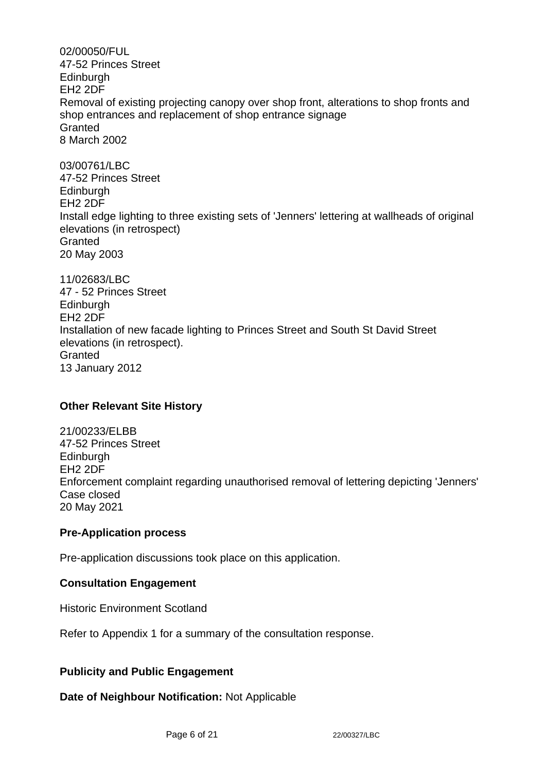02/00050/FUL 47-52 Princes Street **Edinburgh** EH2 2DF Removal of existing projecting canopy over shop front, alterations to shop fronts and shop entrances and replacement of shop entrance signage **Granted** 8 March 2002 03/00761/LBC 47-52 Princes Street **Edinburgh** EH2 2DF Install edge lighting to three existing sets of 'Jenners' lettering at wallheads of original elevations (in retrospect) Granted 20 May 2003 11/02683/LBC 47 - 52 Princes Street Edinburgh

EH2 2DF Installation of new facade lighting to Princes Street and South St David Street elevations (in retrospect). **Granted** 13 January 2012

# **Other Relevant Site History**

21/00233/ELBB 47-52 Princes Street **Edinburgh** EH2 2DF Enforcement complaint regarding unauthorised removal of lettering depicting 'Jenners' Case closed 20 May 2021

## **Pre-Application process**

Pre-application discussions took place on this application.

# **Consultation Engagement**

Historic Environment Scotland

Refer to Appendix 1 for a summary of the consultation response.

# **Publicity and Public Engagement**

**Date of Neighbour Notification:** Not Applicable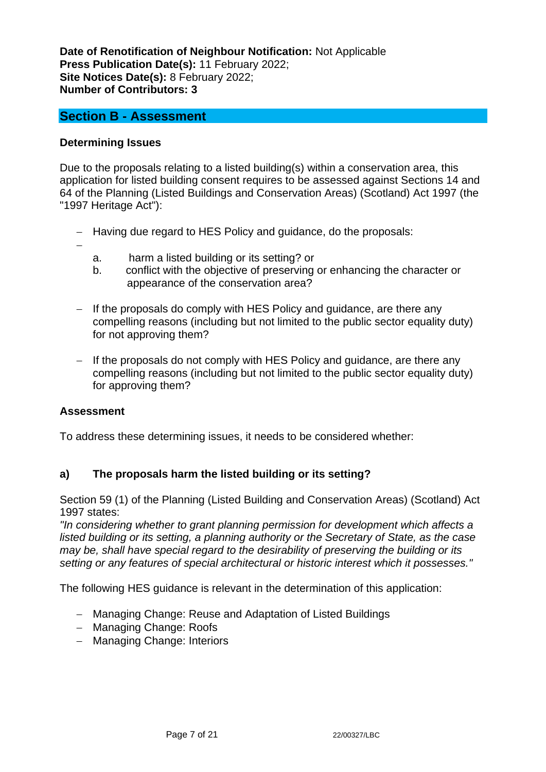**Date of Renotification of Neighbour Notification:** Not Applicable **Press Publication Date(s):** 11 February 2022; **Site Notices Date(s):** 8 February 2022; **Number of Contributors: 3**

# **Section B - Assessment**

### **Determining Issues**

Due to the proposals relating to a listed building(s) within a conservation area, this application for listed building consent requires to be assessed against Sections 14 and 64 of the Planning (Listed Buildings and Conservation Areas) (Scotland) Act 1997 (the "1997 Heritage Act"):

- − Having due regard to HES Policy and guidance, do the proposals:
- −
- a. harm a listed building or its setting? or
- b. conflict with the objective of preserving or enhancing the character or appearance of the conservation area?
- − If the proposals do comply with HES Policy and guidance, are there any compelling reasons (including but not limited to the public sector equality duty) for not approving them?
- − If the proposals do not comply with HES Policy and guidance, are there any compelling reasons (including but not limited to the public sector equality duty) for approving them?

#### **Assessment**

To address these determining issues, it needs to be considered whether:

## **a) The proposals harm the listed building or its setting?**

Section 59 (1) of the Planning (Listed Building and Conservation Areas) (Scotland) Act 1997 states:

*"In considering whether to grant planning permission for development which affects a listed building or its setting, a planning authority or the Secretary of State, as the case may be, shall have special regard to the desirability of preserving the building or its setting or any features of special architectural or historic interest which it possesses."*

The following HES guidance is relevant in the determination of this application:

- − Managing Change: Reuse and Adaptation of Listed Buildings
- − Managing Change: Roofs
- − Managing Change: Interiors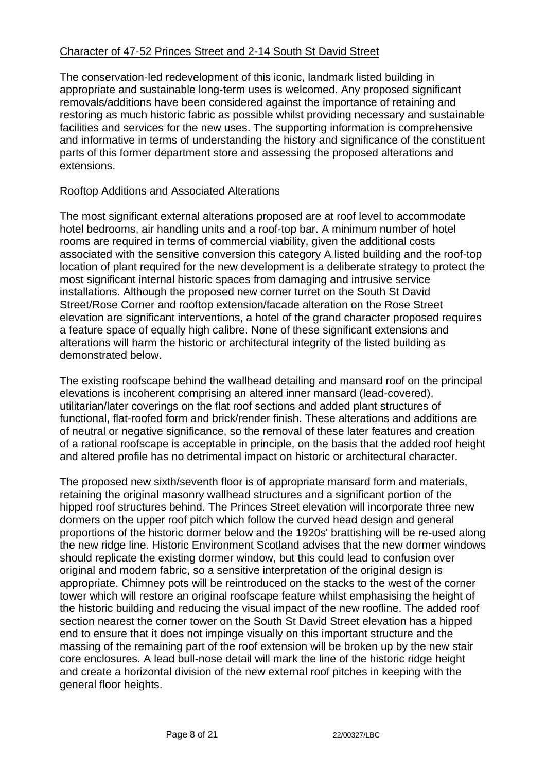# Character of 47-52 Princes Street and 2-14 South St David Street

The conservation-led redevelopment of this iconic, landmark listed building in appropriate and sustainable long-term uses is welcomed. Any proposed significant removals/additions have been considered against the importance of retaining and restoring as much historic fabric as possible whilst providing necessary and sustainable facilities and services for the new uses. The supporting information is comprehensive and informative in terms of understanding the history and significance of the constituent parts of this former department store and assessing the proposed alterations and extensions.

# Rooftop Additions and Associated Alterations

The most significant external alterations proposed are at roof level to accommodate hotel bedrooms, air handling units and a roof-top bar. A minimum number of hotel rooms are required in terms of commercial viability, given the additional costs associated with the sensitive conversion this category A listed building and the roof-top location of plant required for the new development is a deliberate strategy to protect the most significant internal historic spaces from damaging and intrusive service installations. Although the proposed new corner turret on the South St David Street/Rose Corner and rooftop extension/facade alteration on the Rose Street elevation are significant interventions, a hotel of the grand character proposed requires a feature space of equally high calibre. None of these significant extensions and alterations will harm the historic or architectural integrity of the listed building as demonstrated below.

The existing roofscape behind the wallhead detailing and mansard roof on the principal elevations is incoherent comprising an altered inner mansard (lead-covered), utilitarian/later coverings on the flat roof sections and added plant structures of functional, flat-roofed form and brick/render finish. These alterations and additions are of neutral or negative significance, so the removal of these later features and creation of a rational roofscape is acceptable in principle, on the basis that the added roof height and altered profile has no detrimental impact on historic or architectural character.

The proposed new sixth/seventh floor is of appropriate mansard form and materials, retaining the original masonry wallhead structures and a significant portion of the hipped roof structures behind. The Princes Street elevation will incorporate three new dormers on the upper roof pitch which follow the curved head design and general proportions of the historic dormer below and the 1920s' brattishing will be re-used along the new ridge line. Historic Environment Scotland advises that the new dormer windows should replicate the existing dormer window, but this could lead to confusion over original and modern fabric, so a sensitive interpretation of the original design is appropriate. Chimney pots will be reintroduced on the stacks to the west of the corner tower which will restore an original roofscape feature whilst emphasising the height of the historic building and reducing the visual impact of the new roofline. The added roof section nearest the corner tower on the South St David Street elevation has a hipped end to ensure that it does not impinge visually on this important structure and the massing of the remaining part of the roof extension will be broken up by the new stair core enclosures. A lead bull-nose detail will mark the line of the historic ridge height and create a horizontal division of the new external roof pitches in keeping with the general floor heights.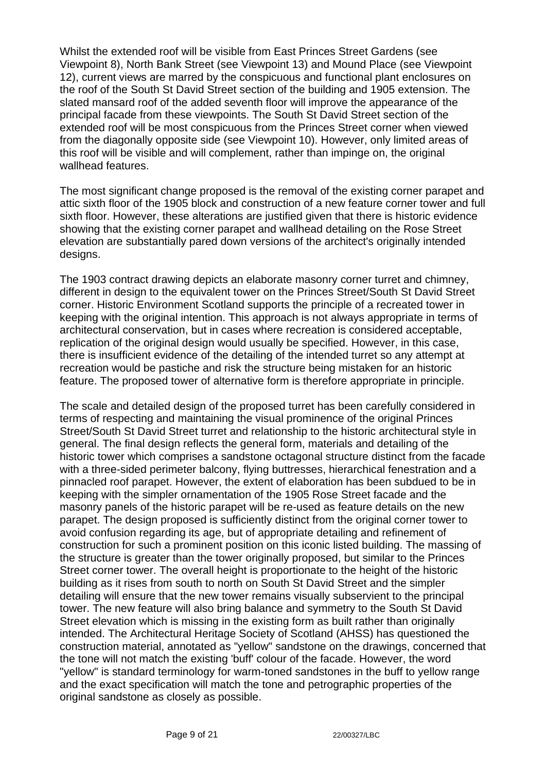Whilst the extended roof will be visible from East Princes Street Gardens (see Viewpoint 8), North Bank Street (see Viewpoint 13) and Mound Place (see Viewpoint 12), current views are marred by the conspicuous and functional plant enclosures on the roof of the South St David Street section of the building and 1905 extension. The slated mansard roof of the added seventh floor will improve the appearance of the principal facade from these viewpoints. The South St David Street section of the extended roof will be most conspicuous from the Princes Street corner when viewed from the diagonally opposite side (see Viewpoint 10). However, only limited areas of this roof will be visible and will complement, rather than impinge on, the original wallhead features.

The most significant change proposed is the removal of the existing corner parapet and attic sixth floor of the 1905 block and construction of a new feature corner tower and full sixth floor. However, these alterations are justified given that there is historic evidence showing that the existing corner parapet and wallhead detailing on the Rose Street elevation are substantially pared down versions of the architect's originally intended designs.

The 1903 contract drawing depicts an elaborate masonry corner turret and chimney, different in design to the equivalent tower on the Princes Street/South St David Street corner. Historic Environment Scotland supports the principle of a recreated tower in keeping with the original intention. This approach is not always appropriate in terms of architectural conservation, but in cases where recreation is considered acceptable, replication of the original design would usually be specified. However, in this case, there is insufficient evidence of the detailing of the intended turret so any attempt at recreation would be pastiche and risk the structure being mistaken for an historic feature. The proposed tower of alternative form is therefore appropriate in principle.

The scale and detailed design of the proposed turret has been carefully considered in terms of respecting and maintaining the visual prominence of the original Princes Street/South St David Street turret and relationship to the historic architectural style in general. The final design reflects the general form, materials and detailing of the historic tower which comprises a sandstone octagonal structure distinct from the facade with a three-sided perimeter balcony, flying buttresses, hierarchical fenestration and a pinnacled roof parapet. However, the extent of elaboration has been subdued to be in keeping with the simpler ornamentation of the 1905 Rose Street facade and the masonry panels of the historic parapet will be re-used as feature details on the new parapet. The design proposed is sufficiently distinct from the original corner tower to avoid confusion regarding its age, but of appropriate detailing and refinement of construction for such a prominent position on this iconic listed building. The massing of the structure is greater than the tower originally proposed, but similar to the Princes Street corner tower. The overall height is proportionate to the height of the historic building as it rises from south to north on South St David Street and the simpler detailing will ensure that the new tower remains visually subservient to the principal tower. The new feature will also bring balance and symmetry to the South St David Street elevation which is missing in the existing form as built rather than originally intended. The Architectural Heritage Society of Scotland (AHSS) has questioned the construction material, annotated as "yellow" sandstone on the drawings, concerned that the tone will not match the existing 'buff' colour of the facade. However, the word "yellow" is standard terminology for warm-toned sandstones in the buff to yellow range and the exact specification will match the tone and petrographic properties of the original sandstone as closely as possible.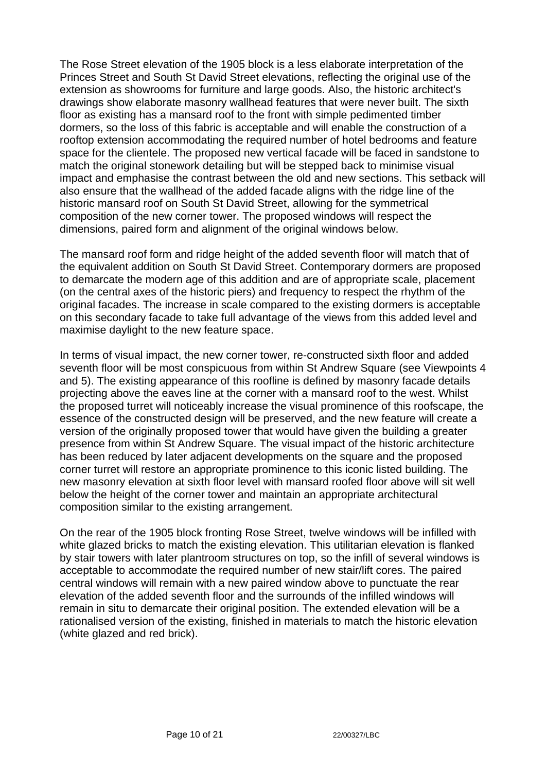The Rose Street elevation of the 1905 block is a less elaborate interpretation of the Princes Street and South St David Street elevations, reflecting the original use of the extension as showrooms for furniture and large goods. Also, the historic architect's drawings show elaborate masonry wallhead features that were never built. The sixth floor as existing has a mansard roof to the front with simple pedimented timber dormers, so the loss of this fabric is acceptable and will enable the construction of a rooftop extension accommodating the required number of hotel bedrooms and feature space for the clientele. The proposed new vertical facade will be faced in sandstone to match the original stonework detailing but will be stepped back to minimise visual impact and emphasise the contrast between the old and new sections. This setback will also ensure that the wallhead of the added facade aligns with the ridge line of the historic mansard roof on South St David Street, allowing for the symmetrical composition of the new corner tower. The proposed windows will respect the dimensions, paired form and alignment of the original windows below.

The mansard roof form and ridge height of the added seventh floor will match that of the equivalent addition on South St David Street. Contemporary dormers are proposed to demarcate the modern age of this addition and are of appropriate scale, placement (on the central axes of the historic piers) and frequency to respect the rhythm of the original facades. The increase in scale compared to the existing dormers is acceptable on this secondary facade to take full advantage of the views from this added level and maximise daylight to the new feature space.

In terms of visual impact, the new corner tower, re-constructed sixth floor and added seventh floor will be most conspicuous from within St Andrew Square (see Viewpoints 4 and 5). The existing appearance of this roofline is defined by masonry facade details projecting above the eaves line at the corner with a mansard roof to the west. Whilst the proposed turret will noticeably increase the visual prominence of this roofscape, the essence of the constructed design will be preserved, and the new feature will create a version of the originally proposed tower that would have given the building a greater presence from within St Andrew Square. The visual impact of the historic architecture has been reduced by later adjacent developments on the square and the proposed corner turret will restore an appropriate prominence to this iconic listed building. The new masonry elevation at sixth floor level with mansard roofed floor above will sit well below the height of the corner tower and maintain an appropriate architectural composition similar to the existing arrangement.

On the rear of the 1905 block fronting Rose Street, twelve windows will be infilled with white glazed bricks to match the existing elevation. This utilitarian elevation is flanked by stair towers with later plantroom structures on top, so the infill of several windows is acceptable to accommodate the required number of new stair/lift cores. The paired central windows will remain with a new paired window above to punctuate the rear elevation of the added seventh floor and the surrounds of the infilled windows will remain in situ to demarcate their original position. The extended elevation will be a rationalised version of the existing, finished in materials to match the historic elevation (white glazed and red brick).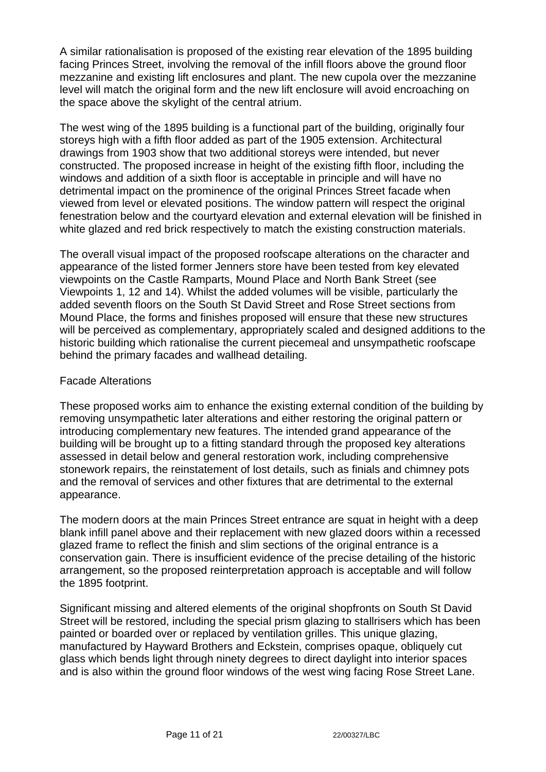A similar rationalisation is proposed of the existing rear elevation of the 1895 building facing Princes Street, involving the removal of the infill floors above the ground floor mezzanine and existing lift enclosures and plant. The new cupola over the mezzanine level will match the original form and the new lift enclosure will avoid encroaching on the space above the skylight of the central atrium.

The west wing of the 1895 building is a functional part of the building, originally four storeys high with a fifth floor added as part of the 1905 extension. Architectural drawings from 1903 show that two additional storeys were intended, but never constructed. The proposed increase in height of the existing fifth floor, including the windows and addition of a sixth floor is acceptable in principle and will have no detrimental impact on the prominence of the original Princes Street facade when viewed from level or elevated positions. The window pattern will respect the original fenestration below and the courtyard elevation and external elevation will be finished in white glazed and red brick respectively to match the existing construction materials.

The overall visual impact of the proposed roofscape alterations on the character and appearance of the listed former Jenners store have been tested from key elevated viewpoints on the Castle Ramparts, Mound Place and North Bank Street (see Viewpoints 1, 12 and 14). Whilst the added volumes will be visible, particularly the added seventh floors on the South St David Street and Rose Street sections from Mound Place, the forms and finishes proposed will ensure that these new structures will be perceived as complementary, appropriately scaled and designed additions to the historic building which rationalise the current piecemeal and unsympathetic roofscape behind the primary facades and wallhead detailing.

## Facade Alterations

These proposed works aim to enhance the existing external condition of the building by removing unsympathetic later alterations and either restoring the original pattern or introducing complementary new features. The intended grand appearance of the building will be brought up to a fitting standard through the proposed key alterations assessed in detail below and general restoration work, including comprehensive stonework repairs, the reinstatement of lost details, such as finials and chimney pots and the removal of services and other fixtures that are detrimental to the external appearance.

The modern doors at the main Princes Street entrance are squat in height with a deep blank infill panel above and their replacement with new glazed doors within a recessed glazed frame to reflect the finish and slim sections of the original entrance is a conservation gain. There is insufficient evidence of the precise detailing of the historic arrangement, so the proposed reinterpretation approach is acceptable and will follow the 1895 footprint.

Significant missing and altered elements of the original shopfronts on South St David Street will be restored, including the special prism glazing to stallrisers which has been painted or boarded over or replaced by ventilation grilles. This unique glazing, manufactured by Hayward Brothers and Eckstein, comprises opaque, obliquely cut glass which bends light through ninety degrees to direct daylight into interior spaces and is also within the ground floor windows of the west wing facing Rose Street Lane.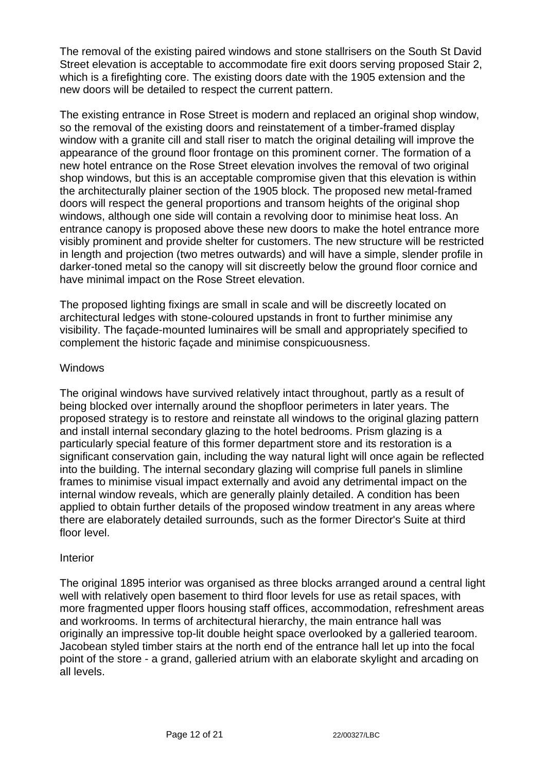The removal of the existing paired windows and stone stallrisers on the South St David Street elevation is acceptable to accommodate fire exit doors serving proposed Stair 2, which is a firefighting core. The existing doors date with the 1905 extension and the new doors will be detailed to respect the current pattern.

The existing entrance in Rose Street is modern and replaced an original shop window, so the removal of the existing doors and reinstatement of a timber-framed display window with a granite cill and stall riser to match the original detailing will improve the appearance of the ground floor frontage on this prominent corner. The formation of a new hotel entrance on the Rose Street elevation involves the removal of two original shop windows, but this is an acceptable compromise given that this elevation is within the architecturally plainer section of the 1905 block. The proposed new metal-framed doors will respect the general proportions and transom heights of the original shop windows, although one side will contain a revolving door to minimise heat loss. An entrance canopy is proposed above these new doors to make the hotel entrance more visibly prominent and provide shelter for customers. The new structure will be restricted in length and projection (two metres outwards) and will have a simple, slender profile in darker-toned metal so the canopy will sit discreetly below the ground floor cornice and have minimal impact on the Rose Street elevation.

The proposed lighting fixings are small in scale and will be discreetly located on architectural ledges with stone-coloured upstands in front to further minimise any visibility. The façade-mounted luminaires will be small and appropriately specified to complement the historic façade and minimise conspicuousness.

## **Windows**

The original windows have survived relatively intact throughout, partly as a result of being blocked over internally around the shopfloor perimeters in later years. The proposed strategy is to restore and reinstate all windows to the original glazing pattern and install internal secondary glazing to the hotel bedrooms. Prism glazing is a particularly special feature of this former department store and its restoration is a significant conservation gain, including the way natural light will once again be reflected into the building. The internal secondary glazing will comprise full panels in slimline frames to minimise visual impact externally and avoid any detrimental impact on the internal window reveals, which are generally plainly detailed. A condition has been applied to obtain further details of the proposed window treatment in any areas where there are elaborately detailed surrounds, such as the former Director's Suite at third floor level.

## Interior

The original 1895 interior was organised as three blocks arranged around a central light well with relatively open basement to third floor levels for use as retail spaces, with more fragmented upper floors housing staff offices, accommodation, refreshment areas and workrooms. In terms of architectural hierarchy, the main entrance hall was originally an impressive top-lit double height space overlooked by a galleried tearoom. Jacobean styled timber stairs at the north end of the entrance hall let up into the focal point of the store - a grand, galleried atrium with an elaborate skylight and arcading on all levels.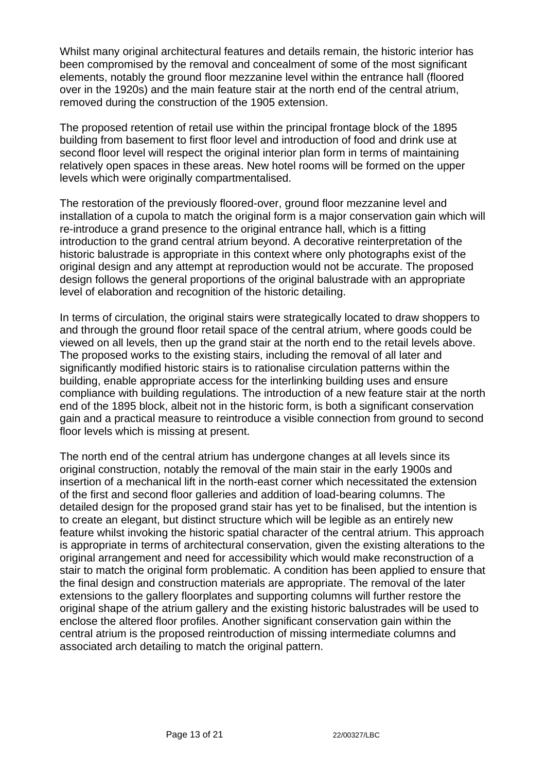Whilst many original architectural features and details remain, the historic interior has been compromised by the removal and concealment of some of the most significant elements, notably the ground floor mezzanine level within the entrance hall (floored over in the 1920s) and the main feature stair at the north end of the central atrium, removed during the construction of the 1905 extension.

The proposed retention of retail use within the principal frontage block of the 1895 building from basement to first floor level and introduction of food and drink use at second floor level will respect the original interior plan form in terms of maintaining relatively open spaces in these areas. New hotel rooms will be formed on the upper levels which were originally compartmentalised.

The restoration of the previously floored-over, ground floor mezzanine level and installation of a cupola to match the original form is a major conservation gain which will re-introduce a grand presence to the original entrance hall, which is a fitting introduction to the grand central atrium beyond. A decorative reinterpretation of the historic balustrade is appropriate in this context where only photographs exist of the original design and any attempt at reproduction would not be accurate. The proposed design follows the general proportions of the original balustrade with an appropriate level of elaboration and recognition of the historic detailing.

In terms of circulation, the original stairs were strategically located to draw shoppers to and through the ground floor retail space of the central atrium, where goods could be viewed on all levels, then up the grand stair at the north end to the retail levels above. The proposed works to the existing stairs, including the removal of all later and significantly modified historic stairs is to rationalise circulation patterns within the building, enable appropriate access for the interlinking building uses and ensure compliance with building regulations. The introduction of a new feature stair at the north end of the 1895 block, albeit not in the historic form, is both a significant conservation gain and a practical measure to reintroduce a visible connection from ground to second floor levels which is missing at present.

The north end of the central atrium has undergone changes at all levels since its original construction, notably the removal of the main stair in the early 1900s and insertion of a mechanical lift in the north-east corner which necessitated the extension of the first and second floor galleries and addition of load-bearing columns. The detailed design for the proposed grand stair has yet to be finalised, but the intention is to create an elegant, but distinct structure which will be legible as an entirely new feature whilst invoking the historic spatial character of the central atrium. This approach is appropriate in terms of architectural conservation, given the existing alterations to the original arrangement and need for accessibility which would make reconstruction of a stair to match the original form problematic. A condition has been applied to ensure that the final design and construction materials are appropriate. The removal of the later extensions to the gallery floorplates and supporting columns will further restore the original shape of the atrium gallery and the existing historic balustrades will be used to enclose the altered floor profiles. Another significant conservation gain within the central atrium is the proposed reintroduction of missing intermediate columns and associated arch detailing to match the original pattern.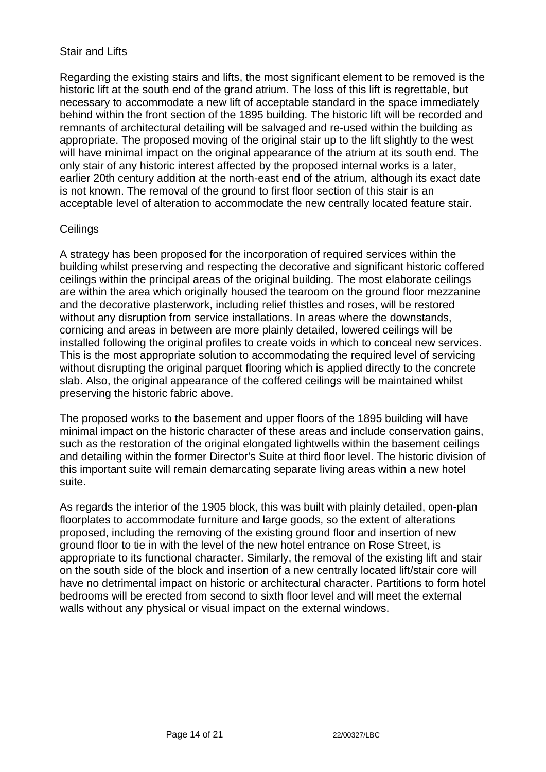# Stair and Lifts

Regarding the existing stairs and lifts, the most significant element to be removed is the historic lift at the south end of the grand atrium. The loss of this lift is regrettable, but necessary to accommodate a new lift of acceptable standard in the space immediately behind within the front section of the 1895 building. The historic lift will be recorded and remnants of architectural detailing will be salvaged and re-used within the building as appropriate. The proposed moving of the original stair up to the lift slightly to the west will have minimal impact on the original appearance of the atrium at its south end. The only stair of any historic interest affected by the proposed internal works is a later, earlier 20th century addition at the north-east end of the atrium, although its exact date is not known. The removal of the ground to first floor section of this stair is an acceptable level of alteration to accommodate the new centrally located feature stair.

# **Ceilings**

A strategy has been proposed for the incorporation of required services within the building whilst preserving and respecting the decorative and significant historic coffered ceilings within the principal areas of the original building. The most elaborate ceilings are within the area which originally housed the tearoom on the ground floor mezzanine and the decorative plasterwork, including relief thistles and roses, will be restored without any disruption from service installations. In areas where the downstands, cornicing and areas in between are more plainly detailed, lowered ceilings will be installed following the original profiles to create voids in which to conceal new services. This is the most appropriate solution to accommodating the required level of servicing without disrupting the original parquet flooring which is applied directly to the concrete slab. Also, the original appearance of the coffered ceilings will be maintained whilst preserving the historic fabric above.

The proposed works to the basement and upper floors of the 1895 building will have minimal impact on the historic character of these areas and include conservation gains, such as the restoration of the original elongated lightwells within the basement ceilings and detailing within the former Director's Suite at third floor level. The historic division of this important suite will remain demarcating separate living areas within a new hotel suite.

As regards the interior of the 1905 block, this was built with plainly detailed, open-plan floorplates to accommodate furniture and large goods, so the extent of alterations proposed, including the removing of the existing ground floor and insertion of new ground floor to tie in with the level of the new hotel entrance on Rose Street, is appropriate to its functional character. Similarly, the removal of the existing lift and stair on the south side of the block and insertion of a new centrally located lift/stair core will have no detrimental impact on historic or architectural character. Partitions to form hotel bedrooms will be erected from second to sixth floor level and will meet the external walls without any physical or visual impact on the external windows.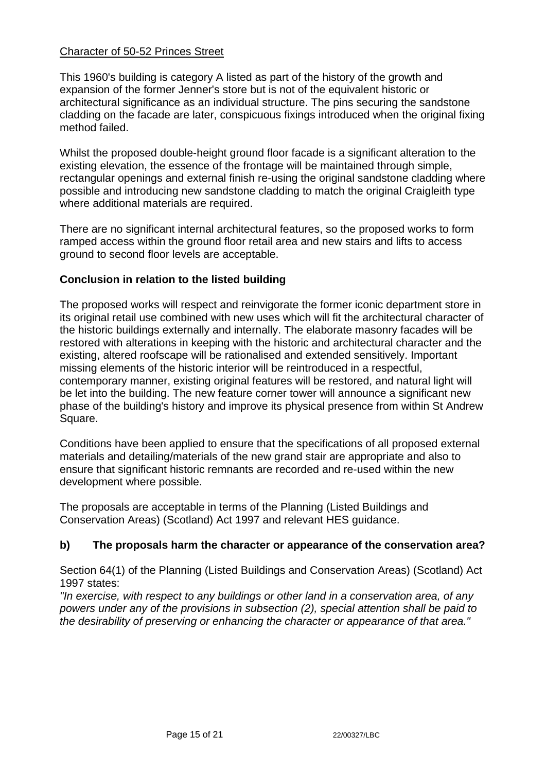# Character of 50-52 Princes Street

This 1960's building is category A listed as part of the history of the growth and expansion of the former Jenner's store but is not of the equivalent historic or architectural significance as an individual structure. The pins securing the sandstone cladding on the facade are later, conspicuous fixings introduced when the original fixing method failed.

Whilst the proposed double-height ground floor facade is a significant alteration to the existing elevation, the essence of the frontage will be maintained through simple, rectangular openings and external finish re-using the original sandstone cladding where possible and introducing new sandstone cladding to match the original Craigleith type where additional materials are required.

There are no significant internal architectural features, so the proposed works to form ramped access within the ground floor retail area and new stairs and lifts to access ground to second floor levels are acceptable.

# **Conclusion in relation to the listed building**

The proposed works will respect and reinvigorate the former iconic department store in its original retail use combined with new uses which will fit the architectural character of the historic buildings externally and internally. The elaborate masonry facades will be restored with alterations in keeping with the historic and architectural character and the existing, altered roofscape will be rationalised and extended sensitively. Important missing elements of the historic interior will be reintroduced in a respectful, contemporary manner, existing original features will be restored, and natural light will be let into the building. The new feature corner tower will announce a significant new phase of the building's history and improve its physical presence from within St Andrew Square.

Conditions have been applied to ensure that the specifications of all proposed external materials and detailing/materials of the new grand stair are appropriate and also to ensure that significant historic remnants are recorded and re-used within the new development where possible.

The proposals are acceptable in terms of the Planning (Listed Buildings and Conservation Areas) (Scotland) Act 1997 and relevant HES guidance.

# **b) The proposals harm the character or appearance of the conservation area?**

Section 64(1) of the Planning (Listed Buildings and Conservation Areas) (Scotland) Act 1997 states:

*"In exercise, with respect to any buildings or other land in a conservation area, of any powers under any of the provisions in subsection (2), special attention shall be paid to the desirability of preserving or enhancing the character or appearance of that area."*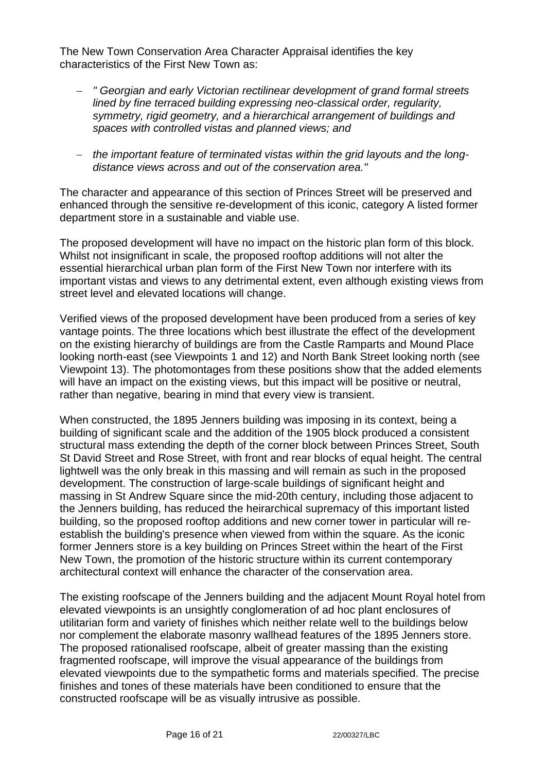The New Town Conservation Area Character Appraisal identifies the key characteristics of the First New Town as:

- − *" Georgian and early Victorian rectilinear development of grand formal streets lined by fine terraced building expressing neo-classical order, regularity, symmetry, rigid geometry, and a hierarchical arrangement of buildings and spaces with controlled vistas and planned views; and*
- − *the important feature of terminated vistas within the grid layouts and the longdistance views across and out of the conservation area."*

The character and appearance of this section of Princes Street will be preserved and enhanced through the sensitive re-development of this iconic, category A listed former department store in a sustainable and viable use.

The proposed development will have no impact on the historic plan form of this block. Whilst not insignificant in scale, the proposed rooftop additions will not alter the essential hierarchical urban plan form of the First New Town nor interfere with its important vistas and views to any detrimental extent, even although existing views from street level and elevated locations will change.

Verified views of the proposed development have been produced from a series of key vantage points. The three locations which best illustrate the effect of the development on the existing hierarchy of buildings are from the Castle Ramparts and Mound Place looking north-east (see Viewpoints 1 and 12) and North Bank Street looking north (see Viewpoint 13). The photomontages from these positions show that the added elements will have an impact on the existing views, but this impact will be positive or neutral, rather than negative, bearing in mind that every view is transient.

When constructed, the 1895 Jenners building was imposing in its context, being a building of significant scale and the addition of the 1905 block produced a consistent structural mass extending the depth of the corner block between Princes Street, South St David Street and Rose Street, with front and rear blocks of equal height. The central lightwell was the only break in this massing and will remain as such in the proposed development. The construction of large-scale buildings of significant height and massing in St Andrew Square since the mid-20th century, including those adjacent to the Jenners building, has reduced the heirarchical supremacy of this important listed building, so the proposed rooftop additions and new corner tower in particular will reestablish the building's presence when viewed from within the square. As the iconic former Jenners store is a key building on Princes Street within the heart of the First New Town, the promotion of the historic structure within its current contemporary architectural context will enhance the character of the conservation area.

The existing roofscape of the Jenners building and the adjacent Mount Royal hotel from elevated viewpoints is an unsightly conglomeration of ad hoc plant enclosures of utilitarian form and variety of finishes which neither relate well to the buildings below nor complement the elaborate masonry wallhead features of the 1895 Jenners store. The proposed rationalised roofscape, albeit of greater massing than the existing fragmented roofscape, will improve the visual appearance of the buildings from elevated viewpoints due to the sympathetic forms and materials specified. The precise finishes and tones of these materials have been conditioned to ensure that the constructed roofscape will be as visually intrusive as possible.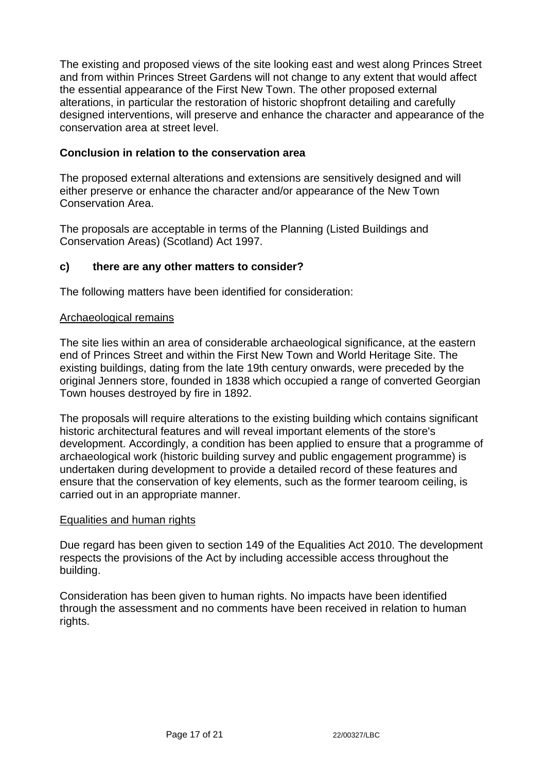The existing and proposed views of the site looking east and west along Princes Street and from within Princes Street Gardens will not change to any extent that would affect the essential appearance of the First New Town. The other proposed external alterations, in particular the restoration of historic shopfront detailing and carefully designed interventions, will preserve and enhance the character and appearance of the conservation area at street level.

# **Conclusion in relation to the conservation area**

The proposed external alterations and extensions are sensitively designed and will either preserve or enhance the character and/or appearance of the New Town Conservation Area.

The proposals are acceptable in terms of the Planning (Listed Buildings and Conservation Areas) (Scotland) Act 1997.

## **c) there are any other matters to consider?**

The following matters have been identified for consideration:

### Archaeological remains

The site lies within an area of considerable archaeological significance, at the eastern end of Princes Street and within the First New Town and World Heritage Site. The existing buildings, dating from the late 19th century onwards, were preceded by the original Jenners store, founded in 1838 which occupied a range of converted Georgian Town houses destroyed by fire in 1892.

The proposals will require alterations to the existing building which contains significant historic architectural features and will reveal important elements of the store's development. Accordingly, a condition has been applied to ensure that a programme of archaeological work (historic building survey and public engagement programme) is undertaken during development to provide a detailed record of these features and ensure that the conservation of key elements, such as the former tearoom ceiling, is carried out in an appropriate manner.

#### Equalities and human rights

Due regard has been given to section 149 of the Equalities Act 2010. The development respects the provisions of the Act by including accessible access throughout the building.

Consideration has been given to human rights. No impacts have been identified through the assessment and no comments have been received in relation to human rights.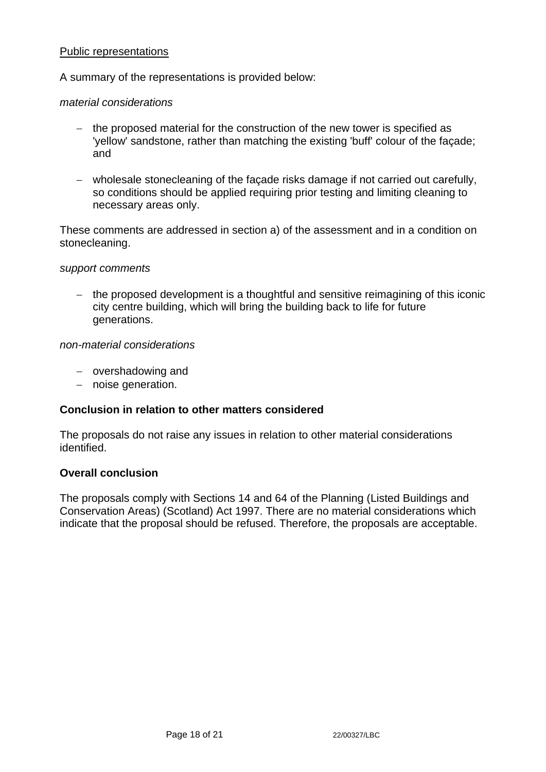### Public representations

A summary of the representations is provided below:

#### *material considerations*

- − the proposed material for the construction of the new tower is specified as 'yellow' sandstone, rather than matching the existing 'buff' colour of the façade; and
- − wholesale stonecleaning of the façade risks damage if not carried out carefully, so conditions should be applied requiring prior testing and limiting cleaning to necessary areas only.

These comments are addressed in section a) of the assessment and in a condition on stonecleaning.

#### *support comments*

− the proposed development is a thoughtful and sensitive reimagining of this iconic city centre building, which will bring the building back to life for future generations.

#### *non-material considerations*

- − overshadowing and
- − noise generation.

#### **Conclusion in relation to other matters considered**

The proposals do not raise any issues in relation to other material considerations identified.

#### **Overall conclusion**

The proposals comply with Sections 14 and 64 of the Planning (Listed Buildings and Conservation Areas) (Scotland) Act 1997. There are no material considerations which indicate that the proposal should be refused. Therefore, the proposals are acceptable.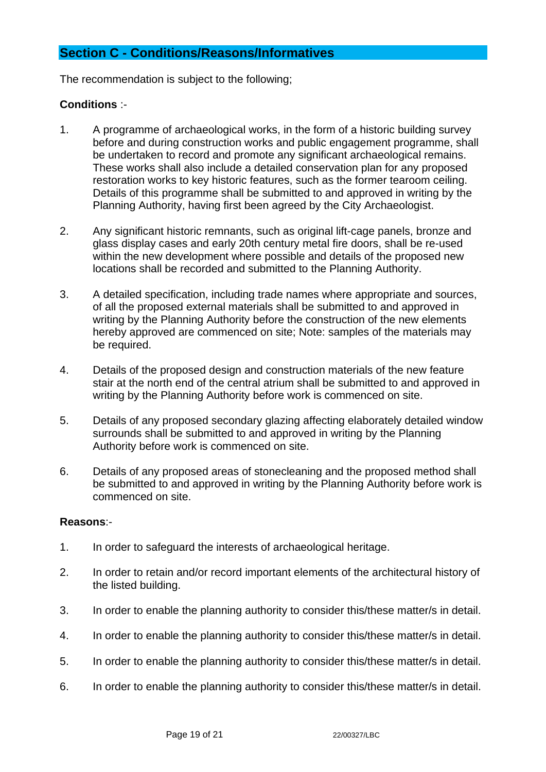# **Section C - Conditions/Reasons/Informatives**

The recommendation is subject to the following;

# **Conditions** :-

- 1. A programme of archaeological works, in the form of a historic building survey before and during construction works and public engagement programme, shall be undertaken to record and promote any significant archaeological remains. These works shall also include a detailed conservation plan for any proposed restoration works to key historic features, such as the former tearoom ceiling. Details of this programme shall be submitted to and approved in writing by the Planning Authority, having first been agreed by the City Archaeologist.
- 2. Any significant historic remnants, such as original lift-cage panels, bronze and glass display cases and early 20th century metal fire doors, shall be re-used within the new development where possible and details of the proposed new locations shall be recorded and submitted to the Planning Authority.
- 3. A detailed specification, including trade names where appropriate and sources, of all the proposed external materials shall be submitted to and approved in writing by the Planning Authority before the construction of the new elements hereby approved are commenced on site; Note: samples of the materials may be required.
- 4. Details of the proposed design and construction materials of the new feature stair at the north end of the central atrium shall be submitted to and approved in writing by the Planning Authority before work is commenced on site.
- 5. Details of any proposed secondary glazing affecting elaborately detailed window surrounds shall be submitted to and approved in writing by the Planning Authority before work is commenced on site.
- 6. Details of any proposed areas of stonecleaning and the proposed method shall be submitted to and approved in writing by the Planning Authority before work is commenced on site.

#### **Reasons**:-

- 1. In order to safeguard the interests of archaeological heritage.
- 2. In order to retain and/or record important elements of the architectural history of the listed building.
- 3. In order to enable the planning authority to consider this/these matter/s in detail.
- 4. In order to enable the planning authority to consider this/these matter/s in detail.
- 5. In order to enable the planning authority to consider this/these matter/s in detail.
- 6. In order to enable the planning authority to consider this/these matter/s in detail.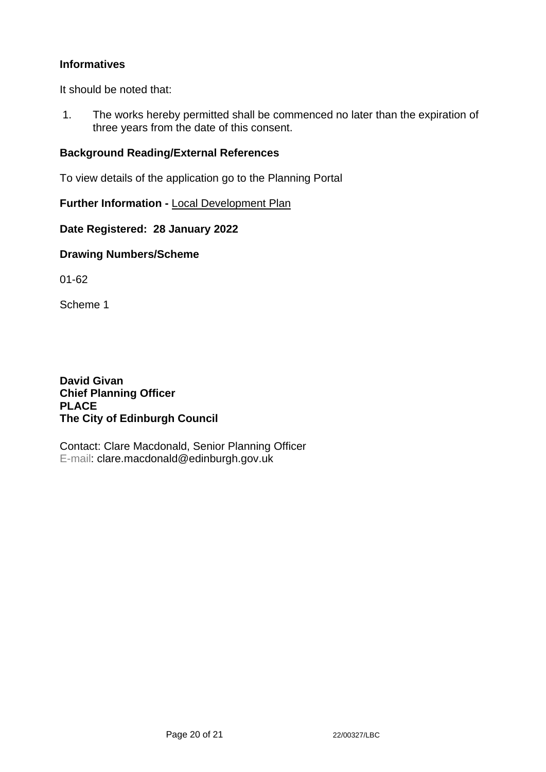# **Informatives**

It should be noted that:

1. The works hereby permitted shall be commenced no later than the expiration of three years from the date of this consent.

# **Background Reading/External References**

To view details of the application go to the Planning Portal

**Further Information -** [Local Development Plan](https://www.edinburgh.gov.uk/local-development-plan-guidance-1/edinburgh-local-development-plan/1)

**Date Registered: 28 January 2022**

### **Drawing Numbers/Scheme**

01-62

Scheme 1

**David Givan Chief Planning Officer PLACE The City of Edinburgh Council**

Contact: Clare Macdonald, Senior Planning Officer E-mail: clare.macdonald@edinburgh.gov.uk